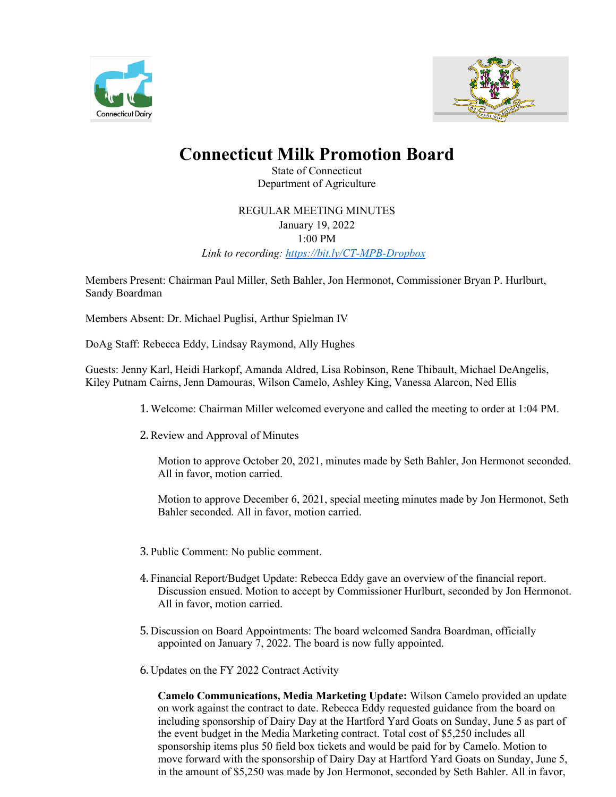



## **Connecticut Milk Promotion Board**

State of Connecticut Department of Agriculture

REGULAR MEETING MINUTES January 19, 2022 1:00 PM

*Link to recording: <https://bit.ly/CT-MPB-Dropbox>*

Members Present: Chairman Paul Miller, Seth Bahler, Jon Hermonot, Commissioner Bryan P. Hurlburt, Sandy Boardman

Members Absent: Dr. Michael Puglisi, Arthur Spielman IV

DoAg Staff: Rebecca Eddy, Lindsay Raymond, Ally Hughes

Guests: Jenny Karl, Heidi Harkopf, Amanda Aldred, Lisa Robinson, Rene Thibault, Michael DeAngelis, Kiley Putnam Cairns, Jenn Damouras, Wilson Camelo, Ashley King, Vanessa Alarcon, Ned Ellis

- 1. Welcome: Chairman Miller welcomed everyone and called the meeting to order at 1:04 PM.
- 2.Review and Approval of Minutes

Motion to approve October 20, 2021, minutes made by Seth Bahler, Jon Hermonot seconded. All in favor, motion carried.

Motion to approve December 6, 2021, special meeting minutes made by Jon Hermonot, Seth Bahler seconded. All in favor, motion carried.

- 3. Public Comment: No public comment.
- 4. Financial Report/Budget Update: Rebecca Eddy gave an overview of the financial report. Discussion ensued. Motion to accept by Commissioner Hurlburt, seconded by Jon Hermonot. All in favor, motion carried.
- 5. Discussion on Board Appointments: The board welcomed Sandra Boardman, officially appointed on January 7, 2022. The board is now fully appointed.
- 6. Updates on the FY 2022 Contract Activity

**Camelo Communications, Media Marketing Update:** Wilson Camelo provided an update on work against the contract to date. Rebecca Eddy requested guidance from the board on including sponsorship of Dairy Day at the Hartford Yard Goats on Sunday, June 5 as part of the event budget in the Media Marketing contract. Total cost of \$5,250 includes all sponsorship items plus 50 field box tickets and would be paid for by Camelo. Motion to move forward with the sponsorship of Dairy Day at Hartford Yard Goats on Sunday, June 5, in the amount of \$5,250 was made by Jon Hermonot, seconded by Seth Bahler. All in favor,